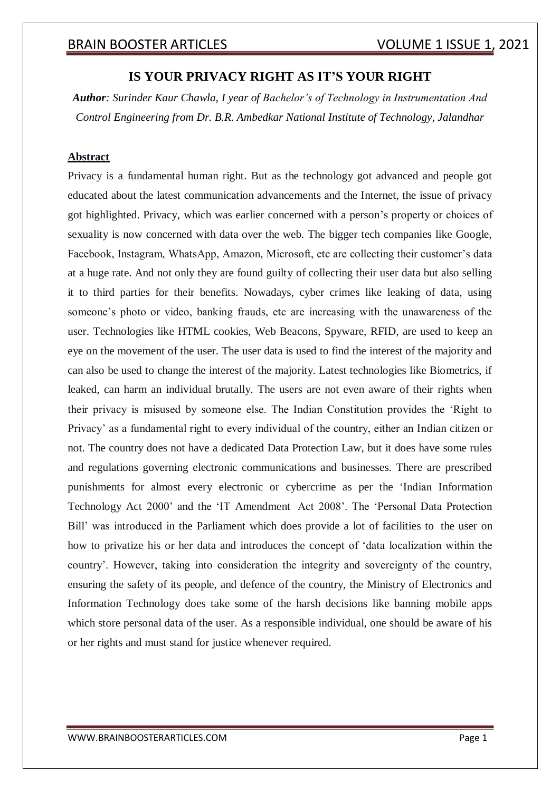## **IS YOUR PRIVACY RIGHT AS IT'S YOUR RIGHT**

*Author: Surinder Kaur Chawla, I year of Bachelor's of Technology in Instrumentation And Control Engineering from Dr. B.R. Ambedkar National Institute of Technology, Jalandhar*

## **Abstract**

Privacy is a fundamental human right. But as the technology got advanced and people got educated about the latest communication advancements and the Internet, the issue of privacy got highlighted. Privacy, which was earlier concerned with a person's property or choices of sexuality is now concerned with data over the web. The bigger tech companies like Google, Facebook, Instagram, WhatsApp, Amazon, Microsoft, etc are collecting their customer's data at a huge rate. And not only they are found guilty of collecting their user data but also selling it to third parties for their benefits. Nowadays, cyber crimes like leaking of data, using someone's photo or video, banking frauds, etc are increasing with the unawareness of the user. Technologies like HTML cookies, Web Beacons, Spyware, RFID, are used to keep an eye on the movement of the user. The user data is used to find the interest of the majority and can also be used to change the interest of the majority. Latest technologies like Biometrics, if leaked, can harm an individual brutally. The users are not even aware of their rights when their privacy is misused by someone else. The Indian Constitution provides the 'Right to Privacy' as a fundamental right to every individual of the country, either an Indian citizen or not. The country does not have a dedicated Data Protection Law, but it does have some rules and regulations governing electronic communications and businesses. There are prescribed punishments for almost every electronic or cybercrime as per the 'Indian Information Technology Act 2000' and the 'IT Amendment Act 2008'. The 'Personal Data Protection Bill' was introduced in the Parliament which does provide a lot of facilities to the user on how to privatize his or her data and introduces the concept of 'data localization within the country'. However, taking into consideration the integrity and sovereignty of the country, ensuring the safety of its people, and defence of the country, the Ministry of Electronics and Information Technology does take some of the harsh decisions like banning mobile apps which store personal data of the user. As a responsible individual, one should be aware of his or her rights and must stand for justice whenever required.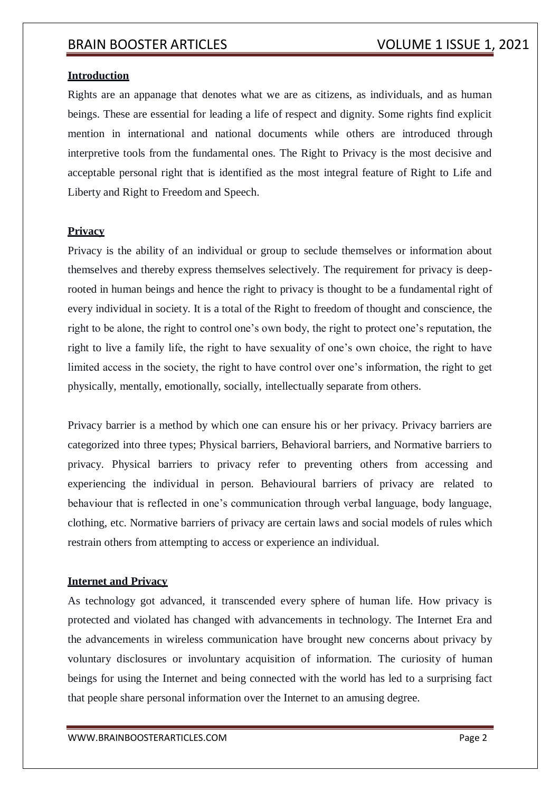## **Introduction**

Rights are an appanage that denotes what we are as citizens, as individuals, and as human beings. These are essential for leading a life of respect and dignity. Some rights find explicit mention in international and national documents while others are introduced through interpretive tools from the fundamental ones. The Right to Privacy is the most decisive and acceptable personal right that is identified as the most integral feature of Right to Life and Liberty and Right to Freedom and Speech.

## **Privacy**

Privacy is the ability of an individual or group to seclude themselves or information about themselves and thereby express themselves selectively. The requirement for privacy is deeprooted in human beings and hence the right to privacy is thought to be a fundamental right of every individual in society. It is a total of the Right to freedom of thought and conscience, the right to be alone, the right to control one's own body, the right to protect one's reputation, the right to live a family life, the right to have sexuality of one's own choice, the right to have limited access in the society, the right to have control over one's information, the right to get physically, mentally, emotionally, socially, intellectually separate from others.

Privacy barrier is a method by which one can ensure his or her privacy. Privacy barriers are categorized into three types; Physical barriers, Behavioral barriers, and Normative barriers to privacy. Physical barriers to privacy refer to preventing others from accessing and experiencing the individual in person. Behavioural barriers of privacy are related to behaviour that is reflected in one's communication through verbal language, body language, clothing, etc. Normative barriers of privacy are certain laws and social models of rules which restrain others from attempting to access or experience an individual.

## **Internet and Privacy**

As technology got advanced, it transcended every sphere of human life. How privacy is protected and violated has changed with advancements in technology. The Internet Era and the advancements in wireless communication have brought new concerns about privacy by voluntary disclosures or involuntary acquisition of information. The curiosity of human beings for using the Internet and being connected with the world has led to a surprising fact that people share personal information over the Internet to an amusing degree.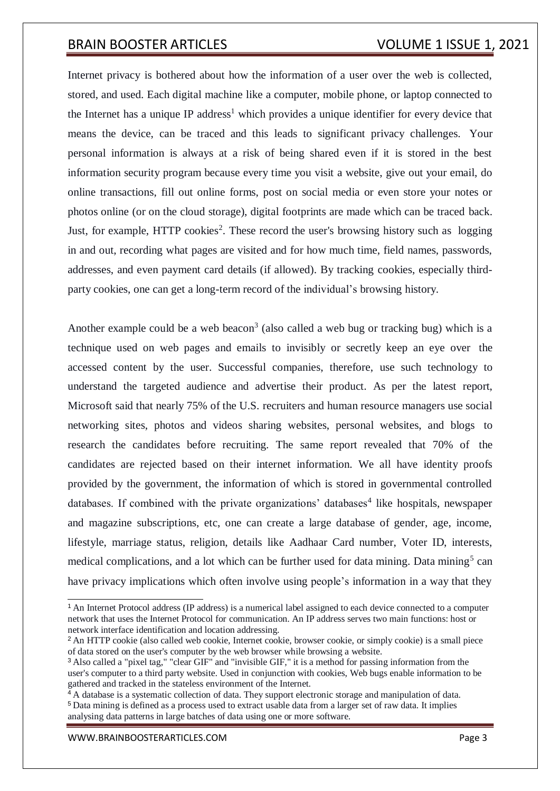Internet privacy is bothered about how the information of a user over the web is collected, stored, and used. Each digital machine like a computer, mobile phone, or laptop connected to the Internet has a unique IP address<sup>1</sup> which provides a unique identifier for every device that means the device, can be traced and this leads to significant privacy challenges. Your personal information is always at a risk of being shared even if it is stored in the best information security program because every time you visit a website, give out your email, do online transactions, fill out online forms, post on social media or even store your notes or photos online (or on the cloud storage), digital footprints are made which can be traced back. Just, for example, HTTP cookies<sup>2</sup>. These record the user's browsing history such as logging in and out, recording what pages are visited and for how much time, field names, passwords, addresses, and even payment card details (if allowed). By tracking cookies, especially thirdparty cookies, one can get a long-term record of the individual's browsing history.

Another example could be a web beacon<sup>3</sup> (also called a web bug or tracking bug) which is a technique used on web pages and emails to invisibly or secretly keep an eye over the accessed content by the user. Successful companies, therefore, use such technology to understand the targeted audience and advertise their product. As per the latest report, Microsoft said that nearly 75% of the U.S. recruiters and human resource managers use social networking sites, photos and videos sharing websites, personal websites, and blogs to research the candidates before recruiting. The same report revealed that 70% of the candidates are rejected based on their internet information. We all have identity proofs provided by the government, the information of which is stored in governmental controlled databases. If combined with the private organizations' databases<sup>4</sup> like hospitals, newspaper and magazine subscriptions, etc, one can create a large database of gender, age, income, lifestyle, marriage status, religion, details like Aadhaar Card number, Voter ID, interests, medical complications, and a lot which can be further used for data mining. Data mining<sup>5</sup> can have privacy implications which often involve using people's information in a way that they

[WWW.BRAINBOOSTERARTICLES.COM](http://www.brainboosterarticles.com/) **Page 3** 

<sup>1</sup>An Internet Protocol address (IP address) is a numerical label assigned to each device connected to a computer network that uses the Internet Protocol for communication. An IP address serves two main functions: host or network interface identification and location addressing.

<sup>&</sup>lt;sup>2</sup> An HTTP cookie (also called web cookie, Internet cookie, browser cookie, or simply cookie) is a small piece of data stored on the user's computer by the web browser while browsing a website.

<sup>3</sup>Also called a "pixel tag," "clear GIF" and "invisible GIF," it is a method for passing information from the user's computer to a third party website. Used in conjunction with cookies, Web bugs enable information to be gathered and tracked in the stateless environment of the Internet.

 $\frac{4}{4}$  A database is a systematic collection of data. They support electronic storage and manipulation of data. <sup>5</sup>Data mining is defined as a process used to extract usable data from a larger set of raw data. It implies analysing data patterns in large batches of data using one or more software.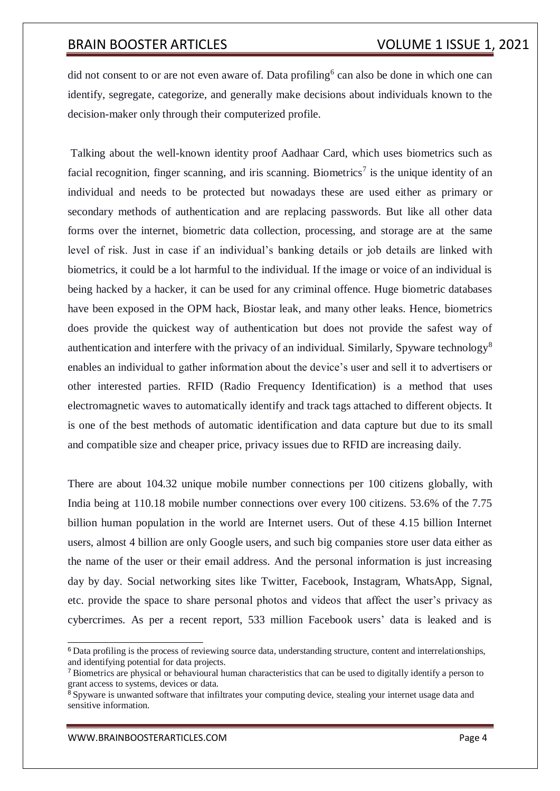did not consent to or are not even aware of. Data profiling<sup>6</sup> can also be done in which one can identify, segregate, categorize, and generally make decisions about individuals known to the decision-maker only through their computerized profile.

Talking about the well-known identity proof Aadhaar Card, which uses biometrics such as facial recognition, finger scanning, and iris scanning. Biometrics<sup>7</sup> is the unique identity of an individual and needs to be protected but nowadays these are used either as primary or secondary methods of authentication and are replacing passwords. But like all other data forms over the internet, biometric data collection, processing, and storage are at the same level of risk. Just in case if an individual's banking details or job details are linked with biometrics, it could be a lot harmful to the individual. If the image or voice of an individual is being hacked by a hacker, it can be used for any criminal offence. Huge biometric databases have been exposed in the OPM hack, Biostar leak, and many other leaks. Hence, biometrics does provide the quickest way of authentication but does not provide the safest way of authentication and interfere with the privacy of an individual. Similarly, Spyware technology<sup>8</sup> enables an individual to gather information about the device's user and sell it to advertisers or other interested parties. RFID (Radio Frequency Identification) is a method that uses electromagnetic waves to automatically identify and track tags attached to different objects. It is one of the best methods of automatic identification and data capture but due to its small and compatible size and cheaper price, privacy issues due to RFID are increasing daily.

There are about 104.32 unique mobile number connections per 100 citizens globally, with India being at 110.18 mobile number connections over every 100 citizens. 53.6% of the 7.75 billion human population in the world are Internet users. Out of these 4.15 billion Internet users, almost 4 billion are only Google users, and such big companies store user data either as the name of the user or their email address. And the personal information is just increasing day by day. Social networking sites like Twitter, Facebook, Instagram, WhatsApp, Signal, etc. provide the space to share personal photos and videos that affect the user's privacy as cybercrimes. As per a recent report, 533 million Facebook users' data is leaked and is

<sup>6</sup>Data profiling is the process of reviewing source data, understanding structure, content and interrelationships, and identifying potential for data projects.

<sup>7</sup>Biometrics are physical or behavioural human characteristics that can be used to digitally identify a person to grant access to systems, devices or data.

 $\frac{8}{8}$  Spyware is unwanted software that infiltrates your computing device, stealing your internet usage data and sensitive information.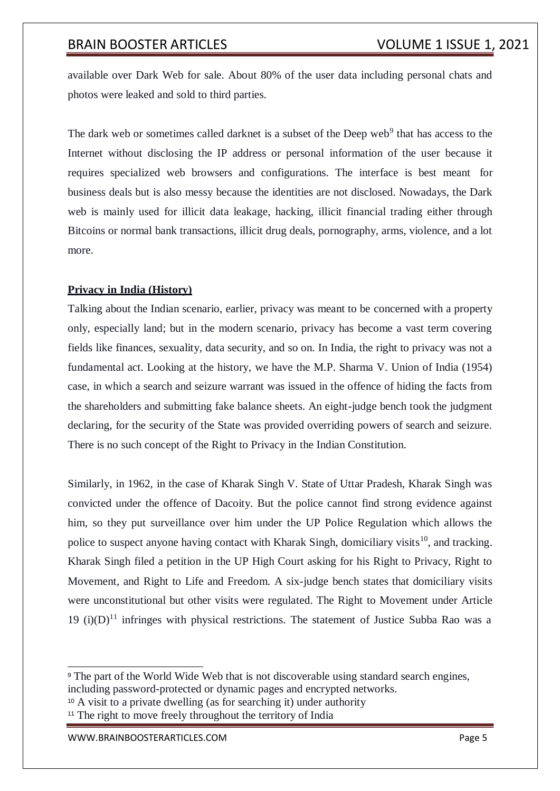available over Dark Web for sale. About 80% of the user data including personal chats and photos were leaked and sold to third parties.

The dark web or sometimes called darknet is a subset of the Deep web<sup>9</sup> that has access to the Internet without disclosing the IP address or personal information of the user because it requires specialized web browsers and configurations. The interface is best meant for business deals but is also messy because the identities are not disclosed. Nowadays, the Dark web is mainly used for illicit data leakage, hacking, illicit financial trading either through Bitcoins or normal bank transactions, illicit drug deals, pornography, arms, violence, and a lot more.

## **Privacy in India (History)**

Talking about the Indian scenario, earlier, privacy was meant to be concerned with a property only, especially land; but in the modern scenario, privacy has become a vast term covering fields like finances, sexuality, data security, and so on. In India, the right to privacy was not a fundamental act. Looking at the history, we have the M.P. Sharma V. Union of India (1954) case, in which a search and seizure warrant was issued in the offence of hiding the facts from the shareholders and submitting fake balance sheets. An eight-judge bench took the judgment declaring, for the security of the State was provided overriding powers of search and seizure. There is no such concept of the Right to Privacy in the Indian Constitution.

Similarly, in 1962, in the case of Kharak Singh V. State of Uttar Pradesh, Kharak Singh was convicted under the offence of Dacoity. But the police cannot find strong evidence against him, so they put surveillance over him under the UP Police Regulation which allows the police to suspect anyone having contact with Kharak Singh, domiciliary visits<sup>10</sup>, and tracking. Kharak Singh filed a petition in the UP High Court asking for his Right to Privacy, Right to Movement, and Right to Life and Freedom. A six-judge bench states that domiciliary visits were unconstitutional but other visits were regulated. The Right to Movement under Article 19 (i) $(D)^{11}$  infringes with physical restrictions. The statement of Justice Subba Rao was a

<sup>10</sup> A visit to a private dwelling (as for searching it) under authority

<sup>&</sup>lt;sup>9</sup> The part of the World Wide Web that is not discoverable using standard search engines,

including password-protected or dynamic pages and encrypted networks.

<sup>&</sup>lt;sup>11</sup> The right to move freely throughout the territory of India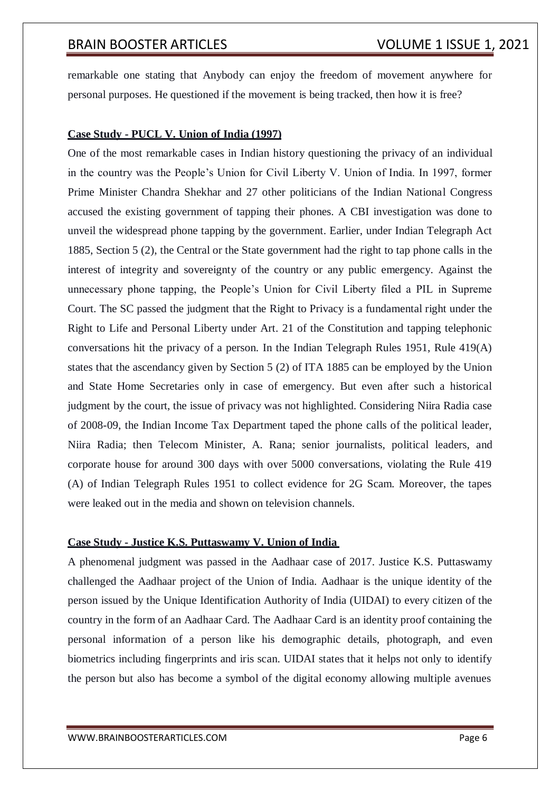remarkable one stating that Anybody can enjoy the freedom of movement anywhere for personal purposes. He questioned if the movement is being tracked, then how it is free?

## **Case Study - PUCL V. Union of India (1997)**

One of the most remarkable cases in Indian history questioning the privacy of an individual in the country was the People's Union for Civil Liberty V. Union of India. In 1997, former Prime Minister Chandra Shekhar and 27 other politicians of the Indian National Congress accused the existing government of tapping their phones. A CBI investigation was done to unveil the widespread phone tapping by the government. Earlier, under Indian Telegraph Act 1885, Section 5 (2), the Central or the State government had the right to tap phone calls in the interest of integrity and sovereignty of the country or any public emergency. Against the unnecessary phone tapping, the People's Union for Civil Liberty filed a PIL in Supreme Court. The SC passed the judgment that the Right to Privacy is a fundamental right under the Right to Life and Personal Liberty under Art. 21 of the Constitution and tapping telephonic conversations hit the privacy of a person. In the Indian Telegraph Rules 1951, Rule 419(A) states that the ascendancy given by Section 5 (2) of ITA 1885 can be employed by the Union and State Home Secretaries only in case of emergency. But even after such a historical judgment by the court, the issue of privacy was not highlighted. Considering Niira Radia case of 2008-09, the Indian Income Tax Department taped the phone calls of the political leader, Niira Radia; then Telecom Minister, A. Rana; senior journalists, political leaders, and corporate house for around 300 days with over 5000 conversations, violating the Rule 419 (A) of Indian Telegraph Rules 1951 to collect evidence for 2G Scam. Moreover, the tapes were leaked out in the media and shown on television channels.

## **Case Study - Justice K.S. Puttaswamy V. Union of India**

A phenomenal judgment was passed in the Aadhaar case of 2017. Justice K.S. Puttaswamy challenged the Aadhaar project of the Union of India. Aadhaar is the unique identity of the person issued by the Unique Identification Authority of India (UIDAI) to every citizen of the country in the form of an Aadhaar Card. The Aadhaar Card is an identity proof containing the personal information of a person like his demographic details, photograph, and even biometrics including fingerprints and iris scan. UIDAI states that it helps not only to identify the person but also has become a symbol of the digital economy allowing multiple avenues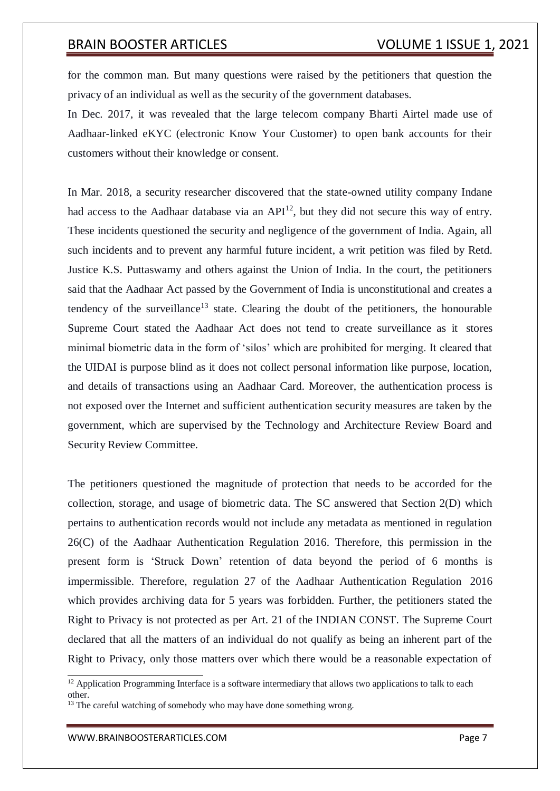for the common man. But many questions were raised by the petitioners that question the privacy of an individual as well as the security of the government databases.

In Dec. 2017, it was revealed that the large telecom company Bharti Airtel made use of Aadhaar-linked eKYC (electronic Know Your Customer) to open bank accounts for their customers without their knowledge or consent.

In Mar. 2018, a security researcher discovered that the state-owned utility company Indane had access to the Aadhaar database via an  $API<sup>12</sup>$ , but they did not secure this way of entry. These incidents questioned the security and negligence of the government of India. Again, all such incidents and to prevent any harmful future incident, a writ petition was filed by Retd. Justice K.S. Puttaswamy and others against the Union of India. In the court, the petitioners said that the Aadhaar Act passed by the Government of India is unconstitutional and creates a tendency of the surveillance<sup>13</sup> state. Clearing the doubt of the petitioners, the honourable Supreme Court stated the Aadhaar Act does not tend to create surveillance as it stores minimal biometric data in the form of 'silos' which are prohibited for merging. It cleared that the UIDAI is purpose blind as it does not collect personal information like purpose, location, and details of transactions using an Aadhaar Card. Moreover, the authentication process is not exposed over the Internet and sufficient authentication security measures are taken by the government, which are supervised by the Technology and Architecture Review Board and Security Review Committee.

The petitioners questioned the magnitude of protection that needs to be accorded for the collection, storage, and usage of biometric data. The SC answered that Section 2(D) which pertains to authentication records would not include any metadata as mentioned in regulation 26(C) of the Aadhaar Authentication Regulation 2016. Therefore, this permission in the present form is 'Struck Down' retention of data beyond the period of 6 months is impermissible. Therefore, regulation 27 of the Aadhaar Authentication Regulation 2016 which provides archiving data for 5 years was forbidden. Further, the petitioners stated the Right to Privacy is not protected as per Art. 21 of the INDIAN CONST. The Supreme Court declared that all the matters of an individual do not qualify as being an inherent part of the Right to Privacy, only those matters over which there would be a reasonable expectation of

<sup>&</sup>lt;sup>12</sup> Application Programming Interface is a software intermediary that allows two applications to talk to each other.

<sup>&</sup>lt;sup>13</sup> The careful watching of somebody who may have done something wrong.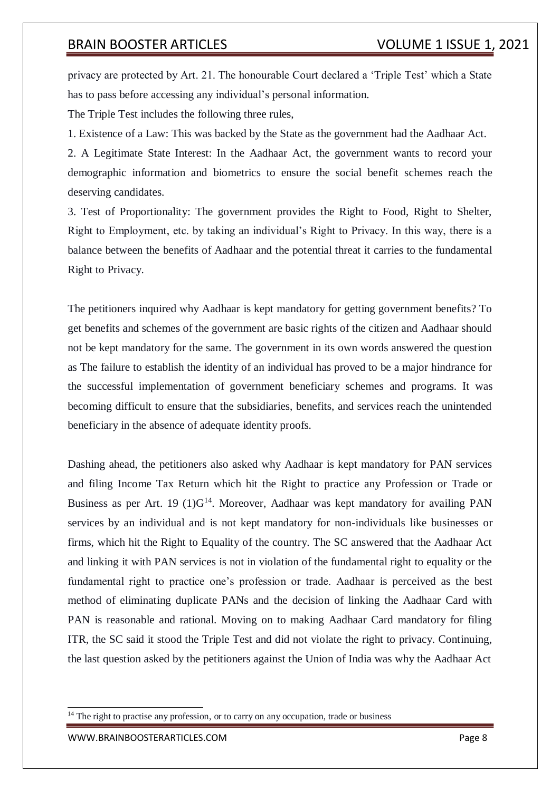privacy are protected by Art. 21. The honourable Court declared a 'Triple Test' which a State has to pass before accessing any individual's personal information.

The Triple Test includes the following three rules,

1. Existence of a Law: This was backed by the State as the government had the Aadhaar Act.

2. A Legitimate State Interest: In the Aadhaar Act, the government wants to record your demographic information and biometrics to ensure the social benefit schemes reach the deserving candidates.

3. Test of Proportionality: The government provides the Right to Food, Right to Shelter, Right to Employment, etc. by taking an individual's Right to Privacy. In this way, there is a balance between the benefits of Aadhaar and the potential threat it carries to the fundamental Right to Privacy.

The petitioners inquired why Aadhaar is kept mandatory for getting government benefits? To get benefits and schemes of the government are basic rights of the citizen and Aadhaar should not be kept mandatory for the same. The government in its own words answered the question as The failure to establish the identity of an individual has proved to be a major hindrance for the successful implementation of government beneficiary schemes and programs. It was becoming difficult to ensure that the subsidiaries, benefits, and services reach the unintended beneficiary in the absence of adequate identity proofs.

Dashing ahead, the petitioners also asked why Aadhaar is kept mandatory for PAN services and filing Income Tax Return which hit the Right to practice any Profession or Trade or Business as per Art. 19  $(1)G<sup>14</sup>$ . Moreover, Aadhaar was kept mandatory for availing PAN services by an individual and is not kept mandatory for non-individuals like businesses or firms, which hit the Right to Equality of the country. The SC answered that the Aadhaar Act and linking it with PAN services is not in violation of the fundamental right to equality or the fundamental right to practice one's profession or trade. Aadhaar is perceived as the best method of eliminating duplicate PANs and the decision of linking the Aadhaar Card with PAN is reasonable and rational. Moving on to making Aadhaar Card mandatory for filing ITR, the SC said it stood the Triple Test and did not violate the right to privacy. Continuing, the last question asked by the petitioners against the Union of India was why the Aadhaar Act

 $14$  The right to practise any profession, or to carry on any occupation, trade or business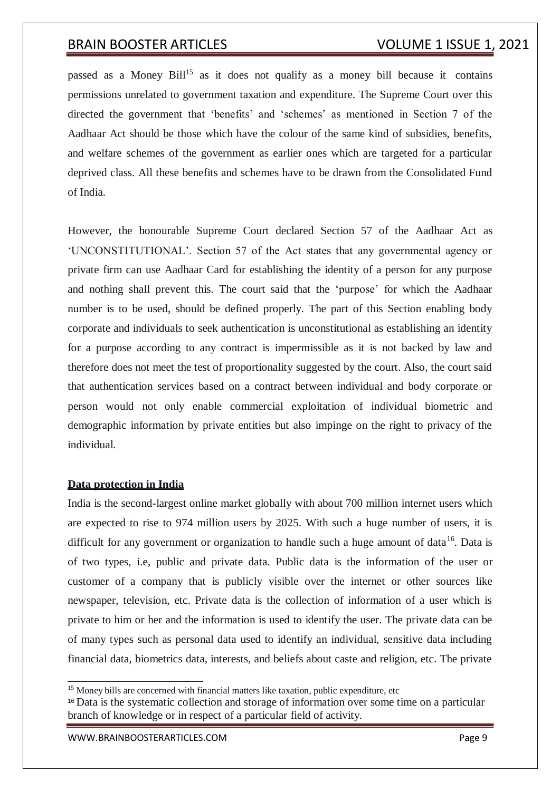passed as a Money Bill<sup>15</sup> as it does not qualify as a money bill because it contains permissions unrelated to government taxation and expenditure. The Supreme Court over this directed the government that 'benefits' and 'schemes' as mentioned in Section 7 of the Aadhaar Act should be those which have the colour of the same kind of subsidies, benefits, and welfare schemes of the government as earlier ones which are targeted for a particular deprived class. All these benefits and schemes have to be drawn from the Consolidated Fund of India.

However, the honourable Supreme Court declared Section 57 of the Aadhaar Act as 'UNCONSTITUTIONAL'. Section 57 of the Act states that any governmental agency or private firm can use Aadhaar Card for establishing the identity of a person for any purpose and nothing shall prevent this. The court said that the 'purpose' for which the Aadhaar number is to be used, should be defined properly. The part of this Section enabling body corporate and individuals to seek authentication is unconstitutional as establishing an identity for a purpose according to any contract is impermissible as it is not backed by law and therefore does not meet the test of proportionality suggested by the court. Also, the court said that authentication services based on a contract between individual and body corporate or person would not only enable commercial exploitation of individual biometric and demographic information by private entities but also impinge on the right to privacy of the individual.

## **Data protection in India**

India is the second-largest online market globally with about 700 million internet users which are expected to rise to 974 million users by 2025. With such a huge number of users, it is difficult for any government or organization to handle such a huge amount of data<sup>16</sup>. Data is of two types, i.e, public and private data. Public data is the information of the user or customer of a company that is publicly visible over the internet or other sources like newspaper, television, etc. Private data is the collection of information of a user which is private to him or her and the information is used to identify the user. The private data can be of many types such as personal data used to identify an individual, sensitive data including financial data, biometrics data, interests, and beliefs about caste and religion, etc. The private

<sup>&</sup>lt;sup>15</sup> Money bills are concerned with financial matters like taxation, public expenditure, etc

<sup>16</sup>Data is the systematic collection and storage of information over some time on a particular branch of knowledge or in respect of a particular field of activity.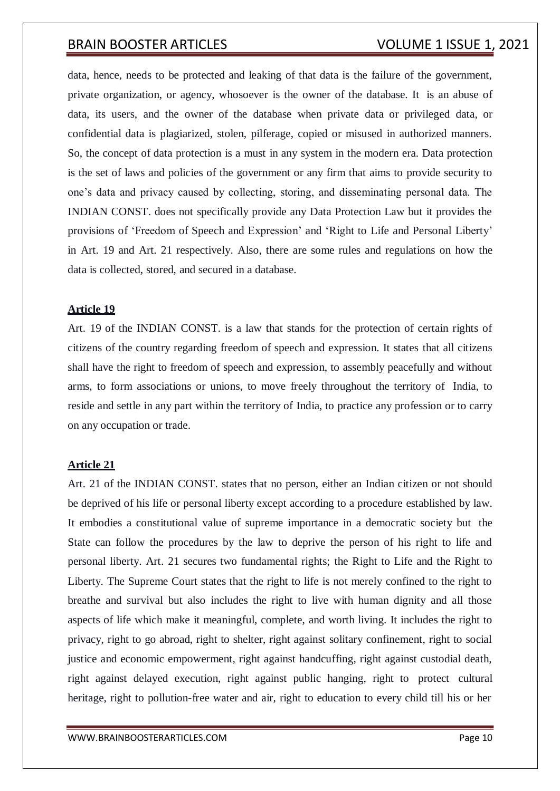data, hence, needs to be protected and leaking of that data is the failure of the government, private organization, or agency, whosoever is the owner of the database. It is an abuse of data, its users, and the owner of the database when private data or privileged data, or confidential data is plagiarized, stolen, pilferage, copied or misused in authorized manners. So, the concept of data protection is a must in any system in the modern era. Data protection is the set of laws and policies of the government or any firm that aims to provide security to one's data and privacy caused by collecting, storing, and disseminating personal data. The INDIAN CONST. does not specifically provide any Data Protection Law but it provides the provisions of 'Freedom of Speech and Expression' and 'Right to Life and Personal Liberty' in Art. 19 and Art. 21 respectively. Also, there are some rules and regulations on how the data is collected, stored, and secured in a database.

## **Article 19**

Art. 19 of the INDIAN CONST. is a law that stands for the protection of certain rights of citizens of the country regarding freedom of speech and expression. It states that all citizens shall have the right to freedom of speech and expression, to assembly peacefully and without arms, to form associations or unions, to move freely throughout the territory of India, to reside and settle in any part within the territory of India, to practice any profession or to carry on any occupation or trade.

### **Article 21**

Art. 21 of the INDIAN CONST. states that no person, either an Indian citizen or not should be deprived of his life or personal liberty except according to a procedure established by law. It embodies a constitutional value of supreme importance in a democratic society but the State can follow the procedures by the law to deprive the person of his right to life and personal liberty. Art. 21 secures two fundamental rights; the Right to Life and the Right to Liberty. The Supreme Court states that the right to life is not merely confined to the right to breathe and survival but also includes the right to live with human dignity and all those aspects of life which make it meaningful, complete, and worth living. It includes the right to privacy, right to go abroad, right to shelter, right against solitary confinement, right to social justice and economic empowerment, right against handcuffing, right against custodial death, right against delayed execution, right against public hanging, right to protect cultural heritage, right to pollution-free water and air, right to education to every child till his or her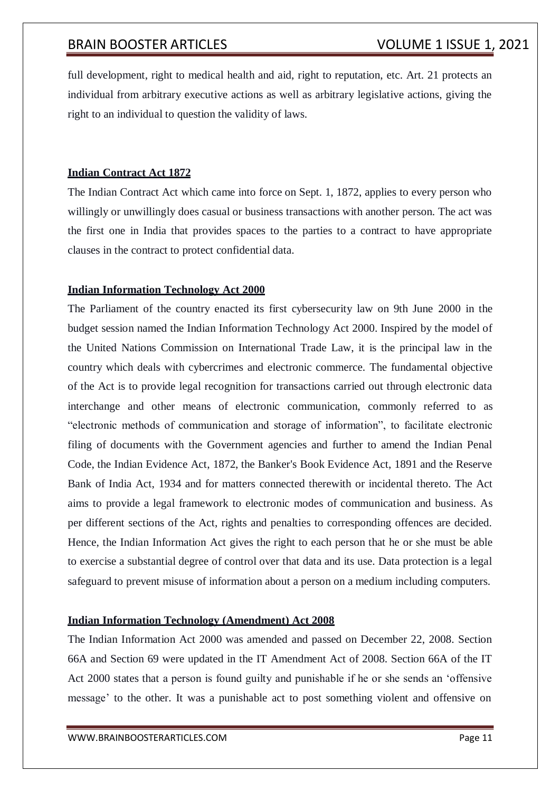full development, right to medical health and aid, right to reputation, etc. Art. 21 protects an individual from arbitrary executive actions as well as arbitrary legislative actions, giving the right to an individual to question the validity of laws.

## **Indian Contract Act 1872**

The Indian Contract Act which came into force on Sept. 1, 1872, applies to every person who willingly or unwillingly does casual or business transactions with another person. The act was the first one in India that provides spaces to the parties to a contract to have appropriate clauses in the contract to protect confidential data.

## **Indian Information Technology Act 2000**

The Parliament of the country enacted its first cybersecurity law on 9th June 2000 in the budget session named the Indian Information Technology Act 2000. Inspired by the model of the United Nations Commission on International Trade Law, it is the principal law in the country which deals with cybercrimes and electronic commerce. The fundamental objective of the Act is to provide legal recognition for transactions carried out through electronic data interchange and other means of electronic communication, commonly referred to as "electronic methods of communication and storage of information", to facilitate electronic filing of documents with the Government agencies and further to amend the Indian Penal Code, the Indian Evidence Act, 1872, the Banker's Book Evidence Act, 1891 and the Reserve Bank of India Act, 1934 and for matters connected therewith or incidental thereto. The Act aims to provide a legal framework to electronic modes of communication and business. As per different sections of the Act, rights and penalties to corresponding offences are decided. Hence, the Indian Information Act gives the right to each person that he or she must be able to exercise a substantial degree of control over that data and its use. Data protection is a legal safeguard to prevent misuse of information about a person on a medium including computers.

## **Indian Information Technology (Amendment) Act 2008**

The Indian Information Act 2000 was amended and passed on December 22, 2008. Section 66A and Section 69 were updated in the IT Amendment Act of 2008. Section 66A of the IT Act 2000 states that a person is found guilty and punishable if he or she sends an 'offensive message' to the other. It was a punishable act to post something violent and offensive on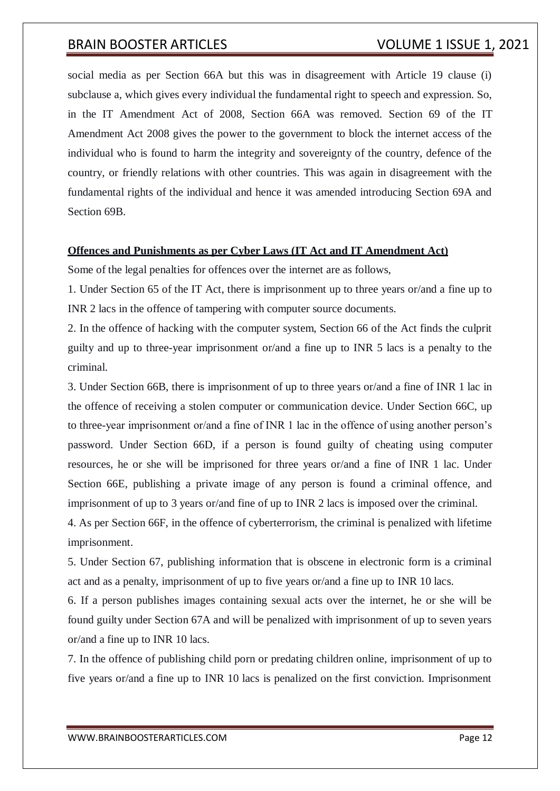social media as per Section 66A but this was in disagreement with Article 19 clause (i) subclause a, which gives every individual the fundamental right to speech and expression. So, in the IT Amendment Act of 2008, Section 66A was removed. Section 69 of the IT Amendment Act 2008 gives the power to the government to block the internet access of the individual who is found to harm the integrity and sovereignty of the country, defence of the country, or friendly relations with other countries. This was again in disagreement with the fundamental rights of the individual and hence it was amended introducing Section 69A and Section 69B.

## **Offences and Punishments as per Cyber Laws (IT Act and IT Amendment Act)**

Some of the legal penalties for offences over the internet are as follows,

1. Under Section 65 of the IT Act, there is imprisonment up to three years or/and a fine up to INR 2 lacs in the offence of tampering with computer source documents.

2. In the offence of hacking with the computer system, Section 66 of the Act finds the culprit guilty and up to three-year imprisonment or/and a fine up to INR 5 lacs is a penalty to the criminal.

3. Under Section 66B, there is imprisonment of up to three years or/and a fine of INR 1 lac in the offence of receiving a stolen computer or communication device. Under Section 66C, up to three-year imprisonment or/and a fine of INR 1 lac in the offence of using another person's password. Under Section 66D, if a person is found guilty of cheating using computer resources, he or she will be imprisoned for three years or/and a fine of INR 1 lac. Under Section 66E, publishing a private image of any person is found a criminal offence, and imprisonment of up to 3 years or/and fine of up to INR 2 lacs is imposed over the criminal.

4. As per Section 66F, in the offence of cyberterrorism, the criminal is penalized with lifetime imprisonment.

5. Under Section 67, publishing information that is obscene in electronic form is a criminal act and as a penalty, imprisonment of up to five years or/and a fine up to INR 10 lacs.

6. If a person publishes images containing sexual acts over the internet, he or she will be found guilty under Section 67A and will be penalized with imprisonment of up to seven years or/and a fine up to INR 10 lacs.

7. In the offence of publishing child porn or predating children online, imprisonment of up to five years or/and a fine up to INR 10 lacs is penalized on the first conviction. Imprisonment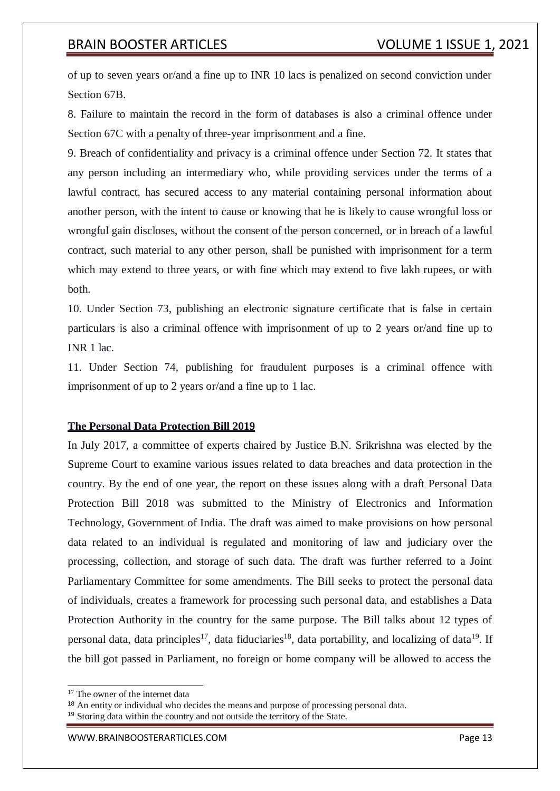of up to seven years or/and a fine up to INR 10 lacs is penalized on second conviction under Section 67B.

8. Failure to maintain the record in the form of databases is also a criminal offence under Section 67C with a penalty of three-year imprisonment and a fine.

9. Breach of confidentiality and privacy is a criminal offence under Section 72. It states that any person including an intermediary who, while providing services under the terms of a lawful contract, has secured access to any material containing personal information about another person, with the intent to cause or knowing that he is likely to cause wrongful loss or wrongful gain discloses, without the consent of the person concerned, or in breach of a lawful contract, such material to any other person, shall be punished with imprisonment for a term which may extend to three years, or with fine which may extend to five lakh rupees, or with both.

10. Under Section 73, publishing an electronic signature certificate that is false in certain particulars is also a criminal offence with imprisonment of up to 2 years or/and fine up to INR 1 lac.

11. Under Section 74, publishing for fraudulent purposes is a criminal offence with imprisonment of up to 2 years or/and a fine up to 1 lac.

## **The Personal Data Protection Bill 2019**

In July 2017, a committee of experts chaired by Justice B.N. Srikrishna was elected by the Supreme Court to examine various issues related to data breaches and data protection in the country. By the end of one year, the report on these issues along with a draft Personal Data Protection Bill 2018 was submitted to the Ministry of Electronics and Information Technology, Government of India. The draft was aimed to make provisions on how personal data related to an individual is regulated and monitoring of law and judiciary over the processing, collection, and storage of such data. The draft was further referred to a Joint Parliamentary Committee for some amendments. The Bill seeks to protect the personal data of individuals, creates a framework for processing such personal data, and establishes a Data Protection Authority in the country for the same purpose. The Bill talks about 12 types of personal data, data principles<sup>17</sup>, data fiduciaries<sup>18</sup>, data portability, and localizing of data<sup>19</sup>. If the bill got passed in Parliament, no foreign or home company will be allowed to access the

<sup>&</sup>lt;sup>17</sup> The owner of the internet data

<sup>18</sup> An entity or individual who decides the means and purpose of processing personal data.

<sup>&</sup>lt;sup>19</sup> Storing data within the country and not outside the territory of the State.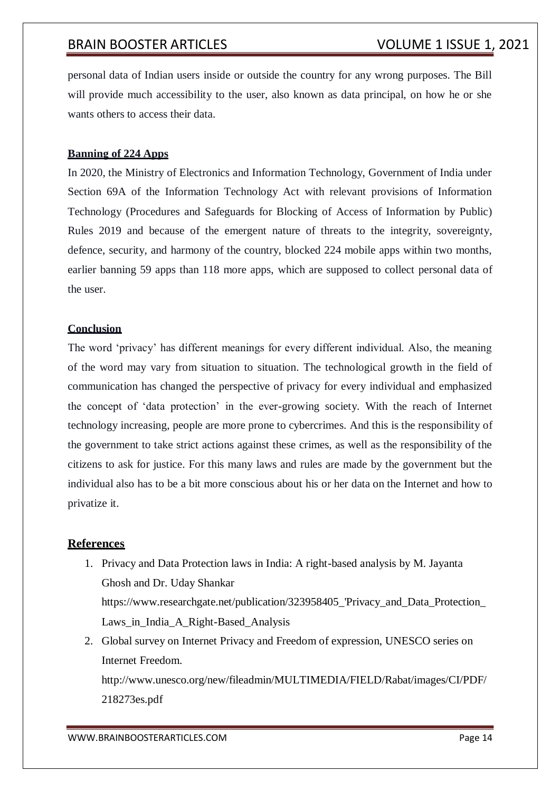personal data of Indian users inside or outside the country for any wrong purposes. The Bill will provide much accessibility to the user, also known as data principal, on how he or she wants others to access their data.

## **Banning of 224 Apps**

In 2020, the Ministry of Electronics and Information Technology, Government of India under Section 69A of the Information Technology Act with relevant provisions of Information Technology (Procedures and Safeguards for Blocking of Access of Information by Public) Rules 2019 and because of the emergent nature of threats to the integrity, sovereignty, defence, security, and harmony of the country, blocked 224 mobile apps within two months, earlier banning 59 apps than 118 more apps, which are supposed to collect personal data of the user.

## **Conclusion**

The word 'privacy' has different meanings for every different individual. Also, the meaning of the word may vary from situation to situation. The technological growth in the field of communication has changed the perspective of privacy for every individual and emphasized the concept of 'data protection' in the ever-growing society. With the reach of Internet technology increasing, people are more prone to cybercrimes. And this is the responsibility of the government to take strict actions against these crimes, as well as the responsibility of the citizens to ask for justice. For this many laws and rules are made by the government but the individual also has to be a bit more conscious about his or her data on the Internet and how to privatize it.

## **References**

- 1. Privacy and Data Protection laws in India: A right-based analysis by M. Jayanta Ghosh and Dr. Uday Shankar https:[//www.researchgate.net/publication/323958405\\_'Privacy\\_and\\_Data\\_Protection\\_](http://www.researchgate.net/publication/323958405_%27Privacy_and_Data_Protection_) Laws in India A Right-Based Analysis
- 2. Global survey on Internet Privacy and Freedom of expression, UNESCO series on Internet Freedom.

<http://www.unesco.org/new/fileadmin/MULTIMEDIA/FIELD/Rabat/images/CI/PDF/> 218273es.pdf